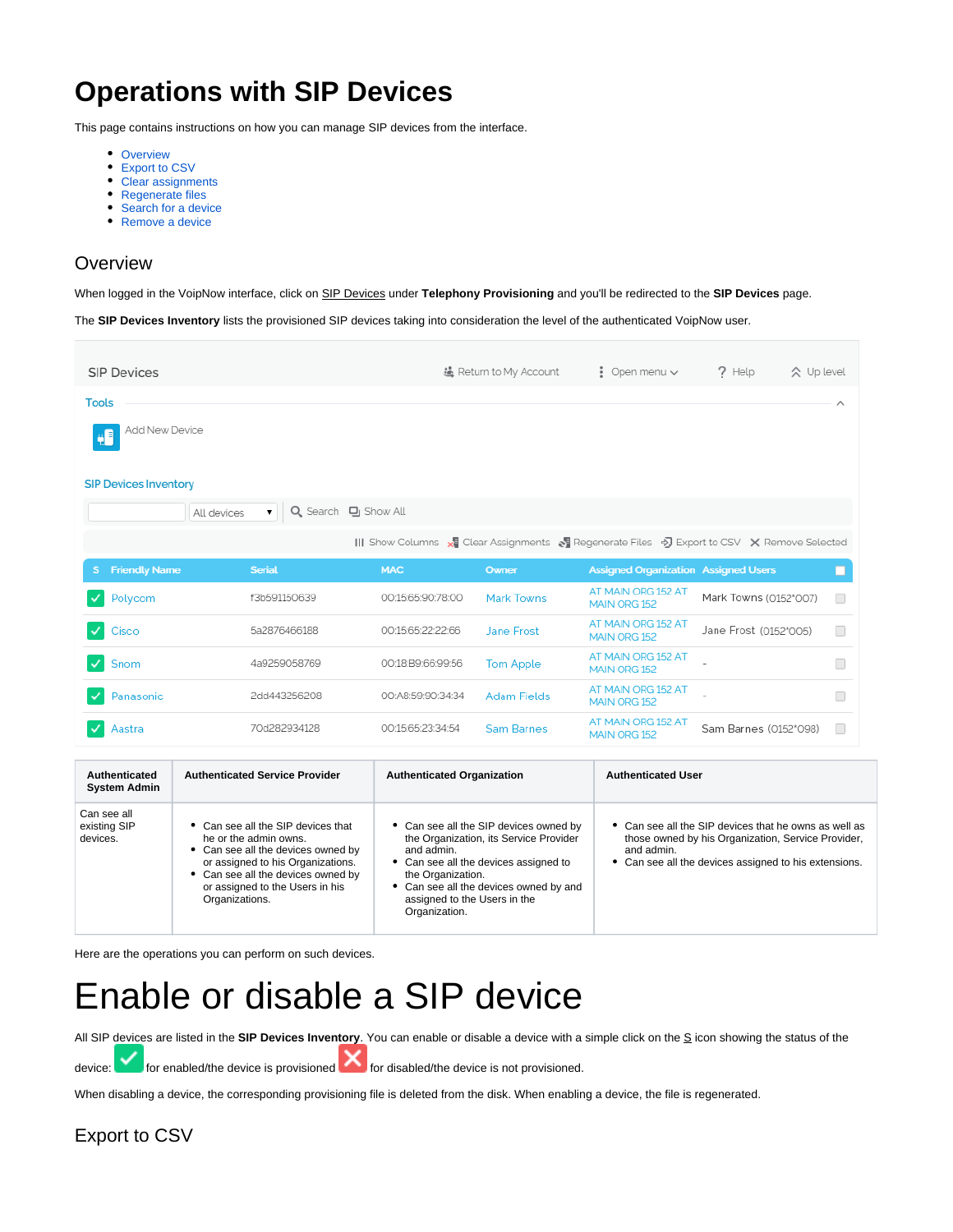## **Operations with SIP Devices**

This page contains instructions on how you can manage SIP devices from the interface.

- [Overview](#page-0-0)
- [Export to CSV](#page-0-1)
- [Clear assignments](#page-1-0)
- [Regenerate files](#page-1-1)
- [Search for a device](#page-1-2)
- [Remove a device](#page-1-3)

### <span id="page-0-0"></span>**Overview**

When logged in the VoipNow interface, click on SIP Devices under **Telephony Provisioning** and you'll be redirected to the **SIP Devices** page.

The **SIP Devices Inventory** lists the provisioned SIP devices taking into consideration the level of the authenticated VoipNow user.

| <b>SIP Devices</b>                   |                                         |                                   | L Return to My Account | $\frac{3}{2}$ Open menu $\vee$                                                                                                | 7 Help<br>◇ Up level  |   |  |  |
|--------------------------------------|-----------------------------------------|-----------------------------------|------------------------|-------------------------------------------------------------------------------------------------------------------------------|-----------------------|---|--|--|
| <b>Tools</b>                         |                                         |                                   |                        |                                                                                                                               |                       | ∧ |  |  |
| Add New Device<br>₩Ē                 |                                         |                                   |                        |                                                                                                                               |                       |   |  |  |
| <b>SIP Devices Inventory</b>         |                                         |                                   |                        |                                                                                                                               |                       |   |  |  |
|                                      | Q Search D Show All<br>All devices<br>▼ |                                   |                        |                                                                                                                               |                       |   |  |  |
|                                      |                                         |                                   |                        | III Show Columns $\sqrt{s}$ Clear Assignments $\sqrt{s}$ Regenerate Files $\sqrt{s}$ Export to CSV $\sqrt{s}$ Remove Selected |                       |   |  |  |
| <b>Friendly Name</b><br>S.           | <b>Serial</b>                           | <b>MAC</b>                        | Owner                  | <b>Assigned Organization Assigned Users</b>                                                                                   |                       | □ |  |  |
| Polycom                              | f3b591150639                            | 00:15:65:90:78:00                 | Mark Towns             | AT MAIN ORG 152 AT<br>MAIN ORG 152                                                                                            | Mark Towns (0152*007) | П |  |  |
| Cisco                                | 5a2876466188                            | 00:15:65:22:22:66                 | Jane Frost             | AT MAIN ORG 152 AT<br>MAIN ORG 152                                                                                            | Jane Frost (0152*005) | □ |  |  |
| Snom<br>$\checkmark$                 | 4a9259058769                            | 00:18:B9:66:99:56                 | <b>Tom Apple</b>       | AT MAIN ORG 152 AT<br>MAIN ORG 152                                                                                            |                       | □ |  |  |
| Panasonic                            | 2dd443256208                            | 00:A8:59:90:34:34                 | <b>Adam Fields</b>     | AT MAIN ORG 152 AT<br>MAIN ORG 152                                                                                            |                       | □ |  |  |
| Aastra<br>$\checkmark$               | 70d282934128                            | 00:15:65:23:34:54                 | <b>Sam Barnes</b>      | AT MAIN ORG 152 AT<br>MAIN ORG 152                                                                                            | Sam Barnes (0152*098) | П |  |  |
| <b>Authenticated</b><br>Custom Admin | <b>Authenticated Service Provider</b>   | <b>Authenticated Organization</b> |                        | <b>Authenticated User</b>                                                                                                     |                       |   |  |  |

| <b>Authenticated</b><br><b>System Admin</b> | <b>Authenticated Service Provider</b>                                                                                                                                                                                             | <b>Authenticated Organization</b>                                                                                                                                                                                                                     | <b>Authenticated User</b>                                                                                                                                                          |
|---------------------------------------------|-----------------------------------------------------------------------------------------------------------------------------------------------------------------------------------------------------------------------------------|-------------------------------------------------------------------------------------------------------------------------------------------------------------------------------------------------------------------------------------------------------|------------------------------------------------------------------------------------------------------------------------------------------------------------------------------------|
| Can see all<br>existing SIP<br>devices.     | • Can see all the SIP devices that<br>he or the admin owns.<br>• Can see all the devices owned by<br>or assigned to his Organizations.<br>• Can see all the devices owned by<br>or assigned to the Users in his<br>Organizations. | • Can see all the SIP devices owned by<br>the Organization, its Service Provider<br>and admin.<br>• Can see all the devices assigned to<br>the Organization.<br>Can see all the devices owned by and<br>assigned to the Users in the<br>Organization. | • Can see all the SIP devices that he owns as well as<br>those owned by his Organization, Service Provider,<br>and admin.<br>• Can see all the devices assigned to his extensions. |

Here are the operations you can perform on such devices.

# Enable or disable a SIP device

All SIP devices are listed in the SIP Devices Inventory. You can enable or disable a device with a simple click on the S icon showing the status of the

device: for enabled/the device is provisioned for disabled/the device is not provisioned.

When disabling a device, the corresponding provisioning file is deleted from the disk. When enabling a device, the file is regenerated.

## <span id="page-0-1"></span>Export to CSV